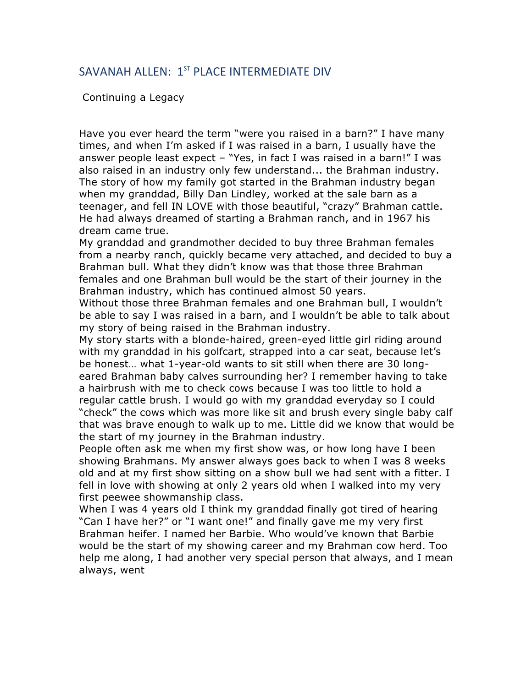## SAVANAH ALLEN: 1<sup>ST</sup> PLACE INTERMEDIATE DIV

Continuing a Legacy

Have you ever heard the term "were you raised in a barn?" I have many times, and when I'm asked if I was raised in a barn, I usually have the answer people least expect – "Yes, in fact I was raised in a barn!" I was also raised in an industry only few understand... the Brahman industry. The story of how my family got started in the Brahman industry began when my granddad, Billy Dan Lindley, worked at the sale barn as a teenager, and fell IN LOVE with those beautiful, "crazy" Brahman cattle. He had always dreamed of starting a Brahman ranch, and in 1967 his dream came true.

My granddad and grandmother decided to buy three Brahman females from a nearby ranch, quickly became very attached, and decided to buy a Brahman bull. What they didn't know was that those three Brahman females and one Brahman bull would be the start of their journey in the Brahman industry, which has continued almost 50 years.

Without those three Brahman females and one Brahman bull, I wouldn't be able to say I was raised in a barn, and I wouldn't be able to talk about my story of being raised in the Brahman industry.

My story starts with a blonde-haired, green-eyed little girl riding around with my granddad in his golfcart, strapped into a car seat, because let's be honest… what 1-year-old wants to sit still when there are 30 longeared Brahman baby calves surrounding her? I remember having to take a hairbrush with me to check cows because I was too little to hold a regular cattle brush. I would go with my granddad everyday so I could "check" the cows which was more like sit and brush every single baby calf that was brave enough to walk up to me. Little did we know that would be the start of my journey in the Brahman industry.

People often ask me when my first show was, or how long have I been showing Brahmans. My answer always goes back to when I was 8 weeks old and at my first show sitting on a show bull we had sent with a fitter. I fell in love with showing at only 2 years old when I walked into my very first peewee showmanship class.

When I was 4 years old I think my granddad finally got tired of hearing "Can I have her?" or "I want one!" and finally gave me my very first Brahman heifer. I named her Barbie. Who would've known that Barbie would be the start of my showing career and my Brahman cow herd. Too help me along, I had another very special person that always, and I mean always, went